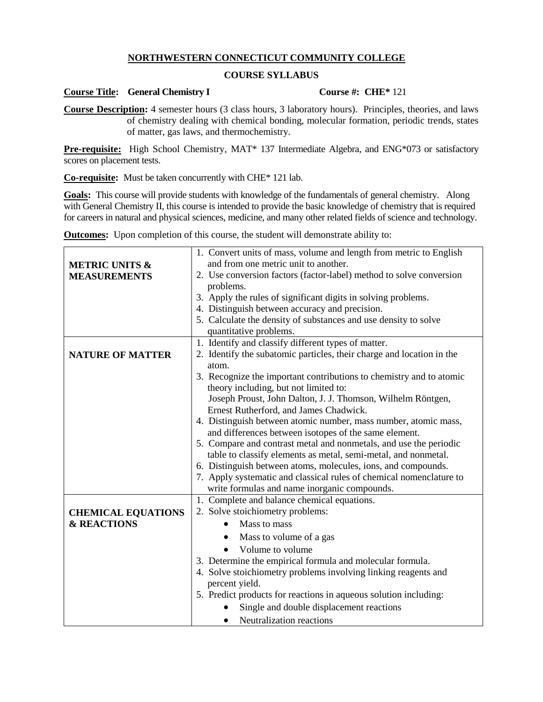# **NORTHWESTERN CONNECTICUT COMMUNITY COLLEGE**

## **COURSE SYLLABUS**

### **Course Title: General Chemistry I Course #: CHE\*** 121

**Course Description:** 4 semester hours (3 class hours, 3 laboratory hours). Principles, theories, and laws of chemistry dealing with chemical bonding, molecular formation, periodic trends, states of matter, gas laws, and thermochemistry.

**Pre-requisite:** High School Chemistry, MAT\* 137 Intermediate Algebra, and ENG\*073 or satisfactory scores on placement tests.

**Co-requisite:** Must be taken concurrently with CHE\* 121 lab.

Goals: This course will provide students with knowledge of the fundamentals of general chemistry. Along with General Chemistry II, this course is intended to provide the basic knowledge of chemistry that is required for careers in natural and physical sciences, medicine, and many other related fields of science and technology.

**Outcomes:** Upon completion of this course, the student will demonstrate ability to:

|                           | 1. Convert units of mass, volume and length from metric to English    |  |  |  |
|---------------------------|-----------------------------------------------------------------------|--|--|--|
| <b>METRIC UNITS &amp;</b> | and from one metric unit to another.                                  |  |  |  |
| <b>MEASUREMENTS</b>       | 2. Use conversion factors (factor-label) method to solve conversion   |  |  |  |
|                           | problems.                                                             |  |  |  |
|                           | 3. Apply the rules of significant digits in solving problems.         |  |  |  |
|                           | 4. Distinguish between accuracy and precision.                        |  |  |  |
|                           | 5. Calculate the density of substances and use density to solve       |  |  |  |
|                           | quantitative problems.                                                |  |  |  |
|                           | 1. Identify and classify different types of matter.                   |  |  |  |
| <b>NATURE OF MATTER</b>   | 2. Identify the subatomic particles, their charge and location in the |  |  |  |
|                           | atom.                                                                 |  |  |  |
|                           | 3. Recognize the important contributions to chemistry and to atomic   |  |  |  |
|                           | theory including, but not limited to:                                 |  |  |  |
|                           | Joseph Proust, John Dalton, J. J. Thomson, Wilhelm Röntgen,           |  |  |  |
|                           | Ernest Rutherford, and James Chadwick.                                |  |  |  |
|                           | 4. Distinguish between atomic number, mass number, atomic mass,       |  |  |  |
|                           | and differences between isotopes of the same element.                 |  |  |  |
|                           | 5. Compare and contrast metal and nonmetals, and use the periodic     |  |  |  |
|                           | table to classify elements as metal, semi-metal, and nonmetal.        |  |  |  |
|                           | 6. Distinguish between atoms, molecules, ions, and compounds.         |  |  |  |
|                           | 7. Apply systematic and classical rules of chemical nomenclature to   |  |  |  |
|                           | write formulas and name inorganic compounds.                          |  |  |  |
|                           | 1. Complete and balance chemical equations.                           |  |  |  |
| <b>CHEMICAL EQUATIONS</b> | 2. Solve stoichiometry problems:                                      |  |  |  |
| <b>&amp; REACTIONS</b>    | Mass to mass                                                          |  |  |  |
|                           | Mass to volume of a gas                                               |  |  |  |
|                           | Volume to volume                                                      |  |  |  |
|                           | 3. Determine the empirical formula and molecular formula.             |  |  |  |
|                           | 4. Solve stoichiometry problems involving linking reagents and        |  |  |  |
|                           | percent yield.                                                        |  |  |  |
|                           | 5. Predict products for reactions in aqueous solution including:      |  |  |  |
|                           |                                                                       |  |  |  |
|                           | Single and double displacement reactions                              |  |  |  |
|                           | Neutralization reactions<br>$\bullet$                                 |  |  |  |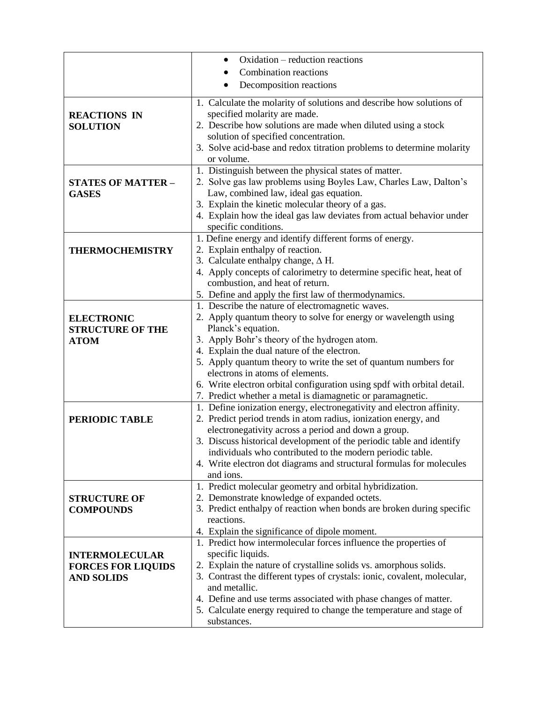|                           | Oxidation – reduction reactions                                                                                                          |  |  |
|---------------------------|------------------------------------------------------------------------------------------------------------------------------------------|--|--|
|                           | <b>Combination reactions</b>                                                                                                             |  |  |
|                           | Decomposition reactions                                                                                                                  |  |  |
|                           |                                                                                                                                          |  |  |
|                           | 1. Calculate the molarity of solutions and describe how solutions of                                                                     |  |  |
| <b>REACTIONS IN</b>       | specified molarity are made.                                                                                                             |  |  |
| <b>SOLUTION</b>           | 2. Describe how solutions are made when diluted using a stock                                                                            |  |  |
|                           | solution of specified concentration.                                                                                                     |  |  |
|                           | 3. Solve acid-base and redox titration problems to determine molarity                                                                    |  |  |
|                           | or volume.                                                                                                                               |  |  |
|                           | 1. Distinguish between the physical states of matter.                                                                                    |  |  |
| <b>STATES OF MATTER -</b> | 2. Solve gas law problems using Boyles Law, Charles Law, Dalton's                                                                        |  |  |
| <b>GASES</b>              | Law, combined law, ideal gas equation.                                                                                                   |  |  |
|                           | 3. Explain the kinetic molecular theory of a gas.                                                                                        |  |  |
|                           | 4. Explain how the ideal gas law deviates from actual behavior under                                                                     |  |  |
|                           | specific conditions.                                                                                                                     |  |  |
|                           | 1. Define energy and identify different forms of energy.                                                                                 |  |  |
| <b>THERMOCHEMISTRY</b>    | 2. Explain enthalpy of reaction.                                                                                                         |  |  |
|                           | 3. Calculate enthalpy change, $\Delta H$ .                                                                                               |  |  |
|                           | 4. Apply concepts of calorimetry to determine specific heat, heat of                                                                     |  |  |
|                           | combustion, and heat of return.                                                                                                          |  |  |
|                           | 5. Define and apply the first law of thermodynamics.                                                                                     |  |  |
|                           | 1. Describe the nature of electromagnetic waves.                                                                                         |  |  |
| <b>ELECTRONIC</b>         | 2. Apply quantum theory to solve for energy or wavelength using                                                                          |  |  |
| <b>STRUCTURE OF THE</b>   | Planck's equation.                                                                                                                       |  |  |
| <b>ATOM</b>               | 3. Apply Bohr's theory of the hydrogen atom.                                                                                             |  |  |
|                           | 4. Explain the dual nature of the electron.                                                                                              |  |  |
|                           | 5. Apply quantum theory to write the set of quantum numbers for                                                                          |  |  |
|                           | electrons in atoms of elements.                                                                                                          |  |  |
|                           | 6. Write electron orbital configuration using spdf with orbital detail.                                                                  |  |  |
|                           | 7. Predict whether a metal is diamagnetic or paramagnetic.                                                                               |  |  |
|                           | 1. Define ionization energy, electronegativity and electron affinity.<br>2. Predict period trends in atom radius, ionization energy, and |  |  |
| PERIODIC TABLE            | electronegativity across a period and down a group.                                                                                      |  |  |
|                           | 3. Discuss historical development of the periodic table and identify                                                                     |  |  |
|                           | individuals who contributed to the modern periodic table.                                                                                |  |  |
|                           | 4. Write electron dot diagrams and structural formulas for molecules                                                                     |  |  |
|                           | and ions.                                                                                                                                |  |  |
|                           | 1. Predict molecular geometry and orbital hybridization.                                                                                 |  |  |
| <b>STRUCTURE OF</b>       | 2. Demonstrate knowledge of expanded octets.                                                                                             |  |  |
| <b>COMPOUNDS</b>          | 3. Predict enthalpy of reaction when bonds are broken during specific                                                                    |  |  |
|                           | reactions.                                                                                                                               |  |  |
|                           | 4. Explain the significance of dipole moment.                                                                                            |  |  |
|                           | 1. Predict how intermolecular forces influence the properties of                                                                         |  |  |
| <b>INTERMOLECULAR</b>     | specific liquids.                                                                                                                        |  |  |
| <b>FORCES FOR LIQUIDS</b> | 2. Explain the nature of crystalline solids vs. amorphous solids.                                                                        |  |  |
| <b>AND SOLIDS</b>         | 3. Contrast the different types of crystals: ionic, covalent, molecular,                                                                 |  |  |
|                           | and metallic.                                                                                                                            |  |  |
|                           | 4. Define and use terms associated with phase changes of matter.                                                                         |  |  |
|                           | 5. Calculate energy required to change the temperature and stage of                                                                      |  |  |
|                           | substances.                                                                                                                              |  |  |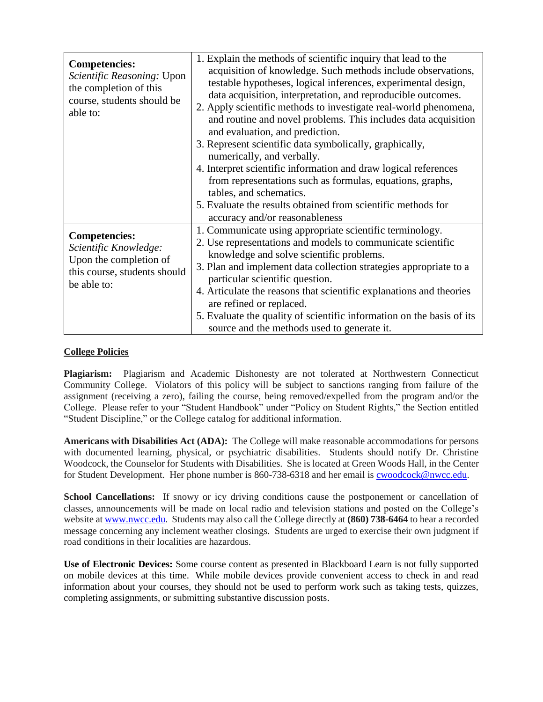| <b>Competencies:</b><br>Scientific Reasoning: Upon<br>the completion of this<br>course, students should be<br>able to: | 1. Explain the methods of scientific inquiry that lead to the<br>acquisition of knowledge. Such methods include observations,<br>testable hypotheses, logical inferences, experimental design,<br>data acquisition, interpretation, and reproducible outcomes.<br>2. Apply scientific methods to investigate real-world phenomena,<br>and routine and novel problems. This includes data acquisition<br>and evaluation, and prediction.<br>3. Represent scientific data symbolically, graphically,<br>numerically, and verbally.<br>4. Interpret scientific information and draw logical references<br>from representations such as formulas, equations, graphs,<br>tables, and schematics. |
|------------------------------------------------------------------------------------------------------------------------|---------------------------------------------------------------------------------------------------------------------------------------------------------------------------------------------------------------------------------------------------------------------------------------------------------------------------------------------------------------------------------------------------------------------------------------------------------------------------------------------------------------------------------------------------------------------------------------------------------------------------------------------------------------------------------------------|
|                                                                                                                        | 5. Evaluate the results obtained from scientific methods for<br>accuracy and/or reasonableness                                                                                                                                                                                                                                                                                                                                                                                                                                                                                                                                                                                              |
| <b>Competencies:</b><br>Scientific Knowledge:<br>Upon the completion of<br>this course, students should<br>be able to: | 1. Communicate using appropriate scientific terminology.<br>2. Use representations and models to communicate scientific<br>knowledge and solve scientific problems.<br>3. Plan and implement data collection strategies appropriate to a<br>particular scientific question.<br>4. Articulate the reasons that scientific explanations and theories<br>are refined or replaced.<br>5. Evaluate the quality of scientific information on the basis of its<br>source and the methods used to generate it.                                                                                                                                                                                      |

# **College Policies**

**Plagiarism:** Plagiarism and Academic Dishonesty are not tolerated at Northwestern Connecticut Community College. Violators of this policy will be subject to sanctions ranging from failure of the assignment (receiving a zero), failing the course, being removed/expelled from the program and/or the College. Please refer to your "Student Handbook" under "Policy on Student Rights," the Section entitled "Student Discipline," or the College catalog for additional information.

**Americans with Disabilities Act (ADA):** The College will make reasonable accommodations for persons with documented learning, physical, or psychiatric disabilities. Students should notify Dr. Christine Woodcock, the Counselor for Students with Disabilities. She is located at Green Woods Hall, in the Center for Student Development. Her phone number is 860-738-6318 and her email is [cwoodcock@nwcc.edu.](mailto:cwoodcock@nwcc.edu)

School Cancellations: If snowy or icy driving conditions cause the postponement or cancellation of classes, announcements will be made on local radio and television stations and posted on the College's website at [www.nwcc.edu.](http://www.nwcc.edu/) Students may also call the College directly at **(860) 738-6464** to hear a recorded message concerning any inclement weather closings. Students are urged to exercise their own judgment if road conditions in their localities are hazardous.

**Use of Electronic Devices:** Some course content as presented in Blackboard Learn is not fully supported on mobile devices at this time. While mobile devices provide convenient access to check in and read information about your courses, they should not be used to perform work such as taking tests, quizzes, completing assignments, or submitting substantive discussion posts.